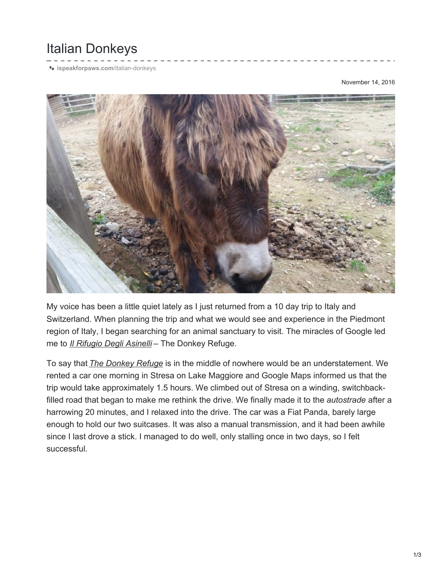## Italian Donkeys

**[ispeakforpaws.com](http://ispeakforpaws.com/italian-donkeys/)**/italian-donkeys

November 14, 2016



My voice has been a little quiet lately as I just returned from a 10 day trip to Italy and Switzerland. When planning the trip and what we would see and experience in the Piedmont region of Italy, I began searching for an animal sanctuary to visit. The miracles of Google led me to *Il [Rifugio](http://www.ilrifugiodegliasinelli.org/en) Degli Asinelli* – The Donkey Refuge.

To say that *The [Donkey](http://www.ilrifugiodegliasinelli.org/en) Refuge* is in the middle of nowhere would be an understatement. We rented a car one morning in Stresa on Lake Maggiore and Google Maps informed us that the trip would take approximately 1.5 hours. We climbed out of Stresa on a winding, switchbackfilled road that began to make me rethink the drive. We finally made it to the *autostrade* after a harrowing 20 minutes, and I relaxed into the drive. The car was a Fiat Panda, barely large enough to hold our two suitcases. It was also a manual transmission, and it had been awhile since I last drove a stick. I managed to do well, only stalling once in two days, so I felt successful.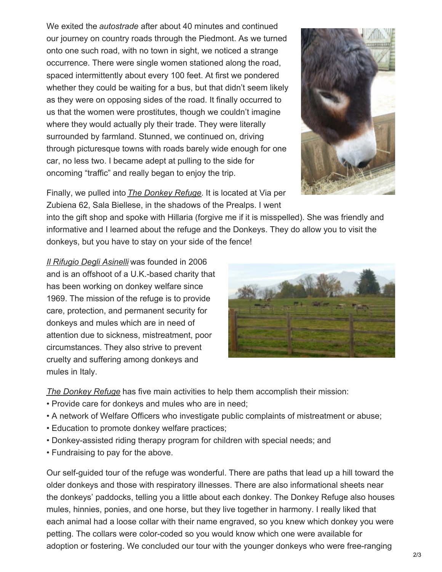We exited the *autostrade* after about 40 minutes and continued our journey on country roads through the Piedmont. As we turned onto one such road, with no town in sight, we noticed a strange occurrence. There were single women stationed along the road, spaced intermittently about every 100 feet. At first we pondered whether they could be waiting for a bus, but that didn't seem likely as they were on opposing sides of the road. It finally occurred to us that the women were prostitutes, though we couldn't imagine where they would actually ply their trade. They were literally surrounded by farmland. Stunned, we continued on, driving through picturesque towns with roads barely wide enough for one car, no less two. I became adept at pulling to the side for oncoming "traffic" and really began to enjoy the trip.



Finally, we pulled into *The [Donkey](http://www.ilrifugiodegliasinelli.org/en) Refuge*. It is located at Via per Zubiena 62, Sala Biellese, in the shadows of the Prealps. I went

into the gift shop and spoke with Hillaria (forgive me if it is misspelled). She was friendly and informative and I learned about the refuge and the Donkeys. They do allow you to visit the donkeys, but you have to stay on your side of the fence!

*Il [Rifugio](http://www.ilrifugiodegliasinelli.org/en) Degli Asinelli* was founded in 2006 and is an offshoot of a U.K.-based charity that has been working on donkey welfare since 1969. The mission of the refuge is to provide care, protection, and permanent security for donkeys and mules which are in need of attention due to sickness, mistreatment, poor circumstances. They also strive to prevent cruelty and suffering among donkeys and mules in Italy.



*The [Donkey](http://www.ilrifugiodegliasinelli.org/en) Refuge* has five main activities to help them accomplish their mission:

- Provide care for donkeys and mules who are in need;
- A network of Welfare Officers who investigate public complaints of mistreatment or abuse;
- Education to promote donkey welfare practices;
- Donkey-assisted riding therapy program for children with special needs; and
- Fundraising to pay for the above.

Our self-guided tour of the refuge was wonderful. There are paths that lead up a hill toward the older donkeys and those with respiratory illnesses. There are also informational sheets near the donkeys' paddocks, telling you a little about each donkey. The Donkey Refuge also houses mules, hinnies, ponies, and one horse, but they live together in harmony. I really liked that each animal had a loose collar with their name engraved, so you knew which donkey you were petting. The collars were color-coded so you would know which one were available for adoption or fostering. We concluded our tour with the younger donkeys who were free-ranging